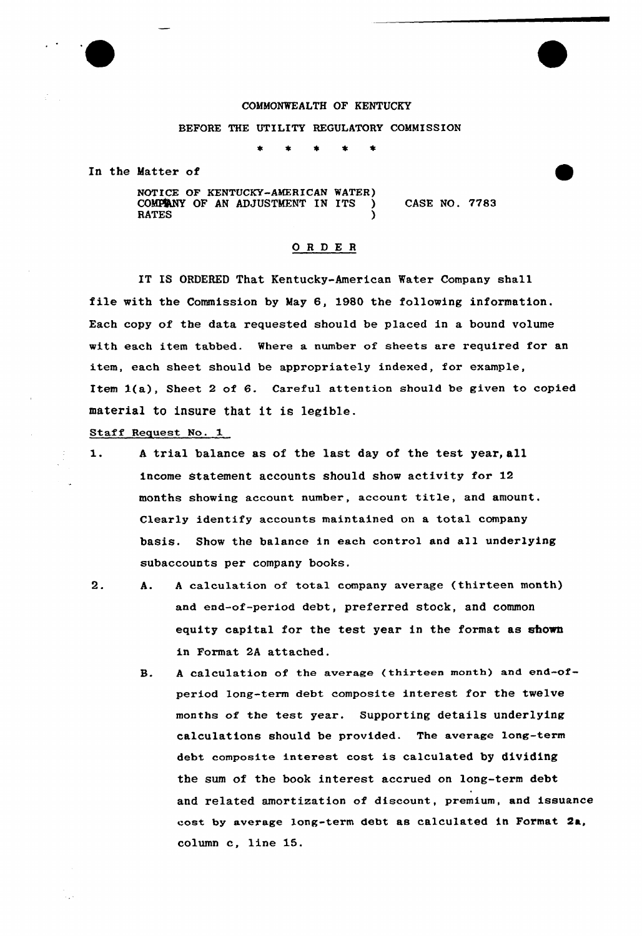

# COMMONWEALTH OF KENTUCKY

### BEFORE THE UTILITY REGULATORY COMMISSION

In the Matter of

NOTICE OF KENTUCKY-AMERICAN WATER)<br>COMPANY OF AN ADJUSTMENT IN ITS COMPENY OF AN ADJUSTMENT IN ITS  $(0.7783$ <br>RATES RATES (Separately)

# ORDER

IT IS ORDERED That Kentucky-American Water Company shall file with the Commission by May 6, 1980 the following information. Each copy of the data requested should be placed in a bound volume with each item tabbed. Where a number of sheets are required for an item, each sheet should be appropriately indexed, for example, Item 1(a), Sheet <sup>2</sup> of 6. Careful attention should be given to copied material to insure that it is legible.

Staff Request No.

- $1.$ <sup>A</sup> trial balance as of the last day of the test year, all income Statement accounts should show activity for 12 months showing account number, account title, and amount. Clearly identify accounts maintained on a total company basis. Show the balance in each control and all underlying subaccounts per company books.
- 2. A. <sup>A</sup> calculation of total company average (thirteen month) and end-of-period debt, preferred stock, and common equity capital for the test year in the format as shown in Format 2A attached.

**B.** <sup>A</sup> calculation of the average (thirteen month) and end-ofperiod Long-term debt composite interest for the twelve months of the test year. Supporting details underlying calculations should be provided. The average long-term debt composite interest cost is calculated by dividing the sum of the book interest accrued on long-term debt and related amortization of discount, premium, and issuance cost by average long-term debt as calculated in Format Qa, column c, line 15.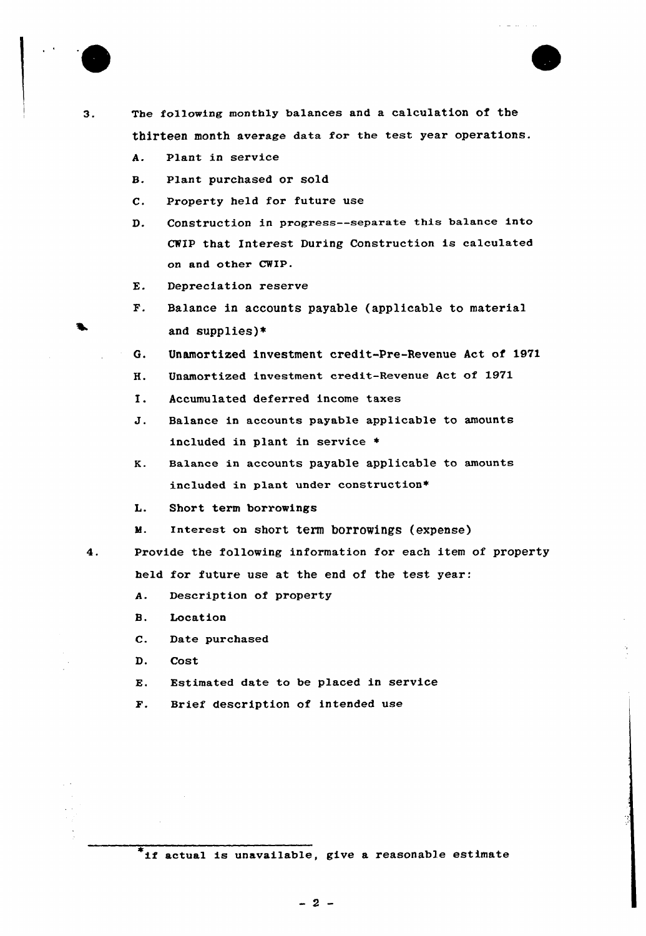



The following monthly balances and a calculation of the  $3.$ thirteen month average data for the test year operations.

- A. Plant in service
- B. Plant purchased or sold
- C. Property held fox future use
- D. Construction in progress--separate this ba1ance into CHIP that Interest During Construction is calculated on and other CWIP.
- E. Depreciation reserve
- F. Balance in accounts payable (applicable to material and supplies}\*
- 6. Unamortized investment credit-Pre-Revenue Act of 1971
- H. Unamortized investment credit-Revenue Act of 1971
- I. Accumulated deferred income taxes
- J. Balance in accounts payable applicable to amounts included in plant in service  $*$
- K. Balance in accounts payable applicable to amounts included in plant under construction\*
- L. Short texm borrowings
- М. Interest on short term borrowings (expense)
- Provide the following information for each item of property held for future use at the end of the test year:
	- A. Description of property
	- B. Location
	- Date purchased  $\mathbf{c}$ .
	- D. Cost

 $4.$ 

- Estimated date to be placed in service E.
- F. Brief description of intended use

 $*$ if actual is unavailable, give a reasonable estimate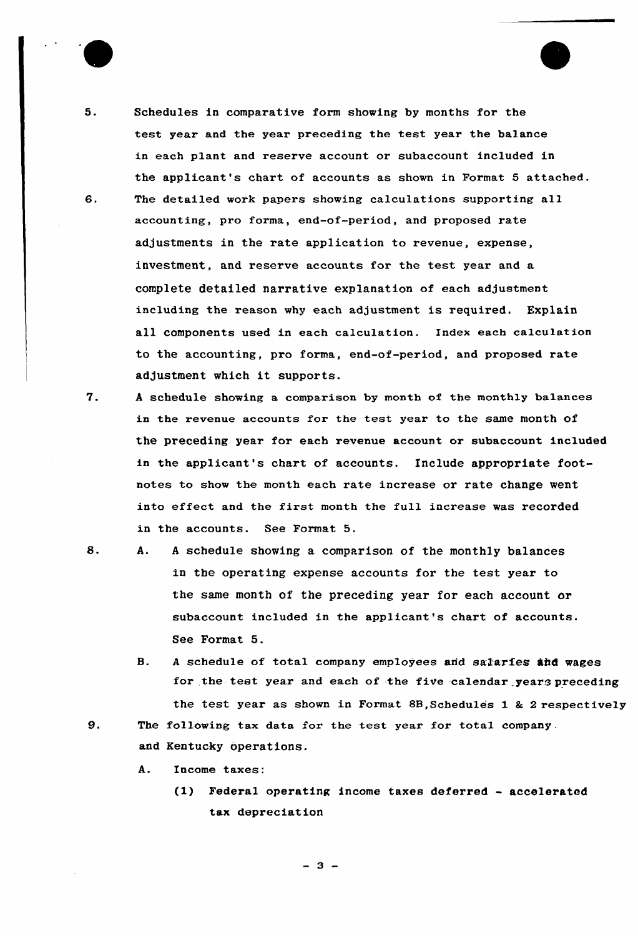

5. Schedules in comparative form showing by months for the test year and the year preceding the test year the balance in each plant and reserve account or subaccount included in the applicant's chart of accounts as shown in Format 5 attached. 6. The detailed work papers showing calculations supporting all accounting, pro forma, end-of-period, and proposed rate adjustments in the rate application to revenue, expense, investment, and reserve accounts for the test year and a complete detailed narrative explanation of each adjustment including the reason why each adjustment is required. Explain all components used in each calculation. Index each calculation to the accounting, pro forma, end-of-period, and proposed rate adjustment which it supports.

- 7. <sup>A</sup> schedule showing a comparison by month of the monthly ba1ances in the revenue accounts for the test year to the same month of the preceding year for each revenue account or subaccount included in the applicant's chart of accounts. Include appropriate footnotes to show the month each rate increase or rate change went into effect and the first month the full increase was recorded in the accounts. See Format 5.
	- A. <sup>A</sup> schedule showing a comparison of the monthly balances in the operating expense accounts for the test year to the same month of the preceding year for each account or subaccount included in the applicant's chart of accounts. See Format 5.
		- B. A schedule of total company employees and salaries and wages for the test year and each of the five calendar years preceding the test year as shown in Format 8B, Schedules  $1$  &  $2$  respectively
- 9. The following tax data for the test year for total company. and Kentucky operations.
	- A. Income taxes:
		- (1) Federal operating income taxes deferred accelerated tax depreciation

 $-3-$ 

8.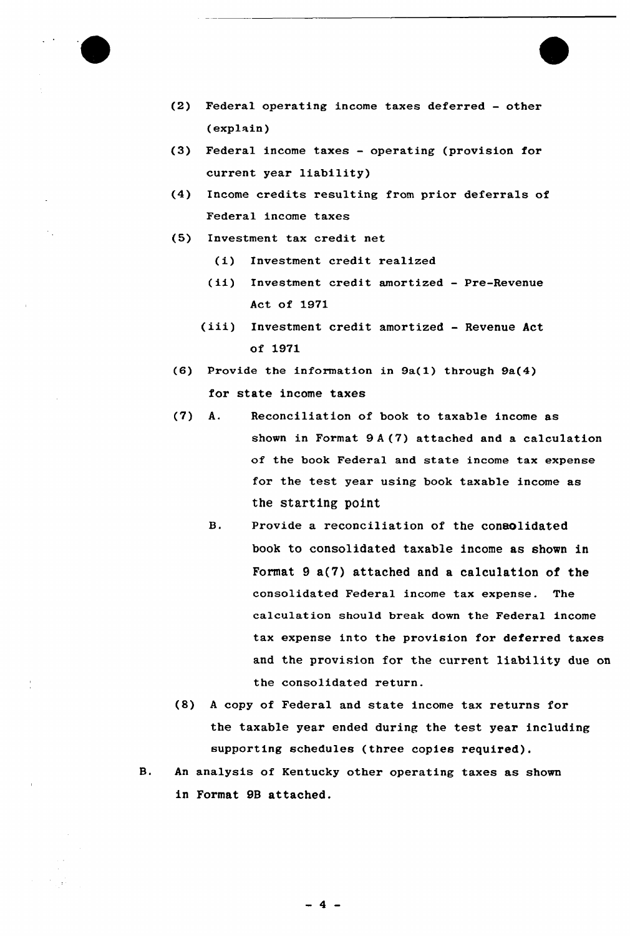

- (2) Federal operating income taxes deferred other (explain)
- (3) Federal income taxes operating (provision for current year liability)
- (4) Income credits resulting from prior deferrals of Federal income taxes
- (5) Investment tax credit net
	- (i) Investment credit realized
	- (ii) Investment credit amortized Pre-Revenue Act of 1971
	- (iii) Investment credit amortized Revenue Act of 1971
- (6) Provide the information in 9a(1) through 9a(4) for state income taxes
- (7) A. Reconciliation of book to taxable income as shown in Format 9 <sup>A</sup> (7) attached and a calculation of the book Federal and state income tax expense for the test year using book taxable income as the starting point
	- B. Provide a reconciliation of the consolidated book to consolidated taxable income as shown in Format  $9a(7)$  attached and a calculation of the consolidated Federal income tax expense. The calculation should break down the Federal income tax expense into the provision for deferred taxes and the provision for the current liability due on the consolidated return.
- (8) <sup>A</sup> copy of Federal and state income tax returns for the taxable year ended during the test year including supporting schedules (three copies required).
- **B.** An analysis of Kentucky other operating taxes as shown in Format 9B attached.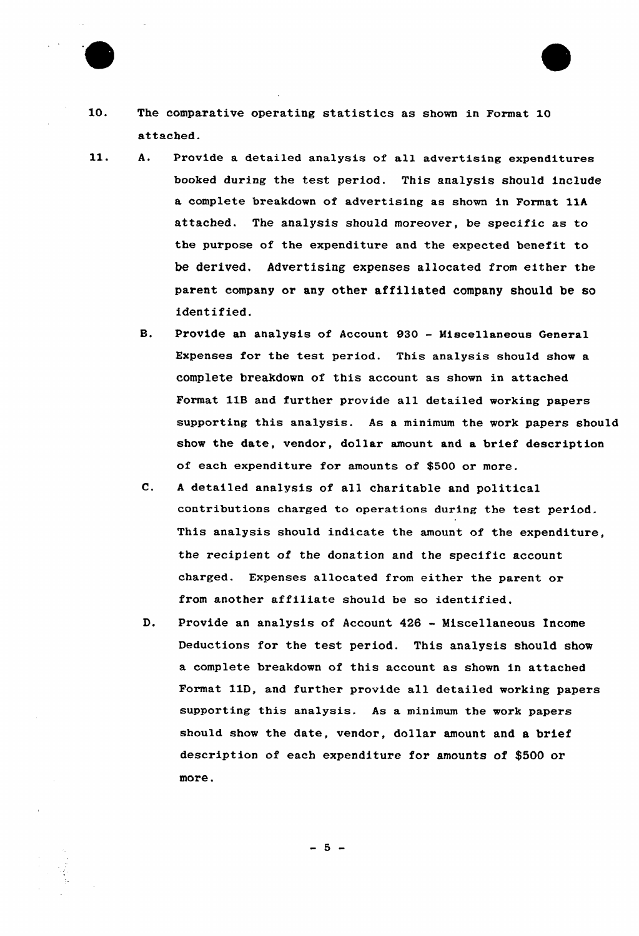

- 10. The comparative operating statistics as shown in Format 10 attached.
- 11. A. Provide a detailed analysis of all advertising expenditures booked during the test period. This analysis should include a complete breakdown of advextising as shown in Format 11A attached. The analysis should moreover, be specific as to the purpose of the expenditure and the expected benefit to be derived. Advertising expenses allocated from either the parent company or any other affiliated company should be so identified.
	- B. Provide an analysis of Account 930 Miscellaneous General Expenses for the test period. This analysis should show a complete breakdown of this account as shown in attached Format 11B and further provide all detailed working papers supporting this analysis. As a minimum the work papers should show the date, vendor, dollar amount and a brief description of each expenditure for amounts of \$500 or more.
	- C. <sup>A</sup> detailed analysis of all charitable and political contributions charged to operations during the test period. This analysis should indicate the amount of the expenditure, the recipient of the donation and the specific account charged. Expenses allocated from either the parent ox from another affiliate should be so identified.
	- D. Provide an analysis of Account <sup>426</sup> - Miscellaneous Income Deductions for the test period. This analysis should show a complete breakdown of this account as shown in attached Format 11D, and further provide all detailed working papers supporting this analysis. As a minimum the work papers should show the date, vendor, dollar amount and a brief description of each expenditure for amounts of \$500 or more.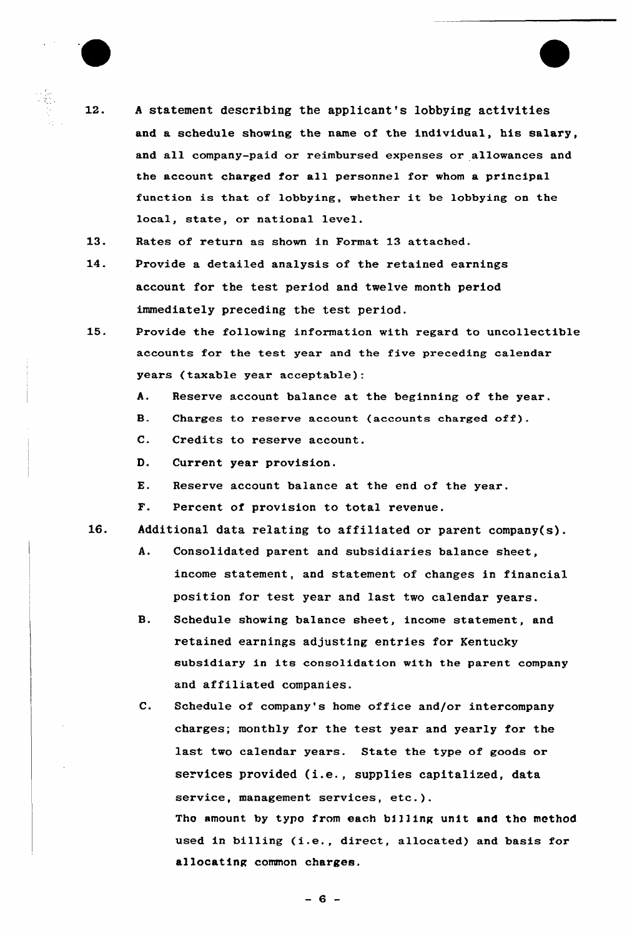- $12.$ <sup>A</sup> statement describing the applicant's lobbying activities and a schedule showing the name of the individual, his salary, and all company-paid or reimbursed expenses or allowances and the account charged for all personnel for whom a principal function is that of lobbying, whether it be lobbying on the local, state, or national level.
- $13.$ Rates of return as shown in Format 13 attached.
- 14. Provide a detailed analysis of the retained earnings account for the test period and twelve month period immediately preceding the test period.
- 15. Provide the following information with regard to uncollectible accounts for the test year and the five preceding calendar years (taxable year acceptable):
	- A. Reserve account balance at the beginning of the year.
	- B. Charges to reserve account (accounts charged off).
		- C. Credits to reserve account.
	- D. Current year provision.
	- E. Reserve account balance at the end of the year.
	- F. Percent of provision to total revenue.
- $16.$ Additional data relating to affiliated or parent company(s).
	- A. Consolidated parent and subsidiaries balance sheet, income statement, and statement of changes in financial position for test year and last two calendar years.
	- B. Schedule showing balance sheet, income statement, and retained earnings adjusting entries for Kentucky subsidiary in its consolidation with the parent company and affiliated companies.
	- C. Schedule of company's home office and/or intercompany charges; monthly for the test year and yearly for the last two calendar years. State the type of goods or services provided (i.e., supplies capitalized, data service, management services, etc.). The amount by type from each billing unit and the method used in billing (i.e., direct, allocated) and basis for allocating common charges.

 $-6 -$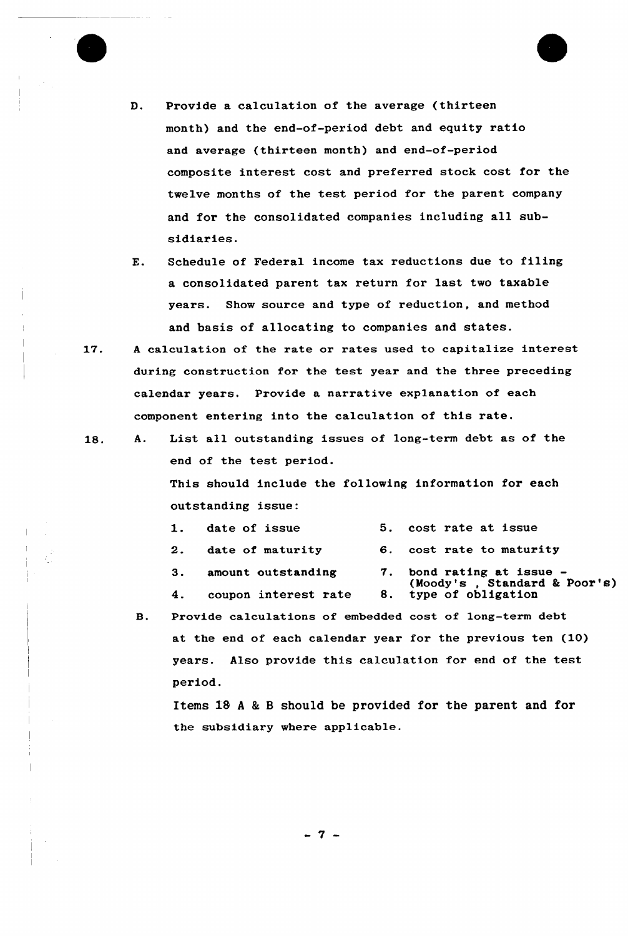

- D. Provide a calculation of the average (thirteen month) and the end-of-period debt and equity ratio and average (thirteen month) and end-of-period composite interest cost and preferred stock cost for the twelve months of the test pexiod for the parent company and for the consolidated companies including all subsidiaries.
- E. Schedule of Federal income tax reductions due to filing a consolidated parent tax return for last two taxable years. Show source and type of reduction, and method and basis of allocating to companies and states.
- 17. <sup>A</sup> calculation of the rate or rates used to capitalize interest during construction for the test year and the three preceding calendar years. Provide a narrative explanation of each component entering into the calculation of this rate.
- A. List all outstanding issues of long-term debt as of the 18. end of the test period.

This should include the following information for each outstanding issue:

|    | 1. date of issue      | 5. cost rate at issue                                     |
|----|-----------------------|-----------------------------------------------------------|
|    | 2. date of maturity   | 6. cost rate to maturity                                  |
|    | 3. amount outstanding | 7. bond rating at issue -<br>(Moody's, Standard & Poor's) |
| 4. | coupon interest rate  | 8. type of obligation                                     |
|    |                       |                                                           |

Provide calculations of embedded cost of long-term debt  $\mathbf{B}$ . at the end of each calendar year for the previous ten (10) years. Also provide this calculation for end of the test period.

Items lS <sup>A</sup> <sup>8</sup> <sup>B</sup> should be provided for the parent and for the subsidiary where applicable.

 $-7 -$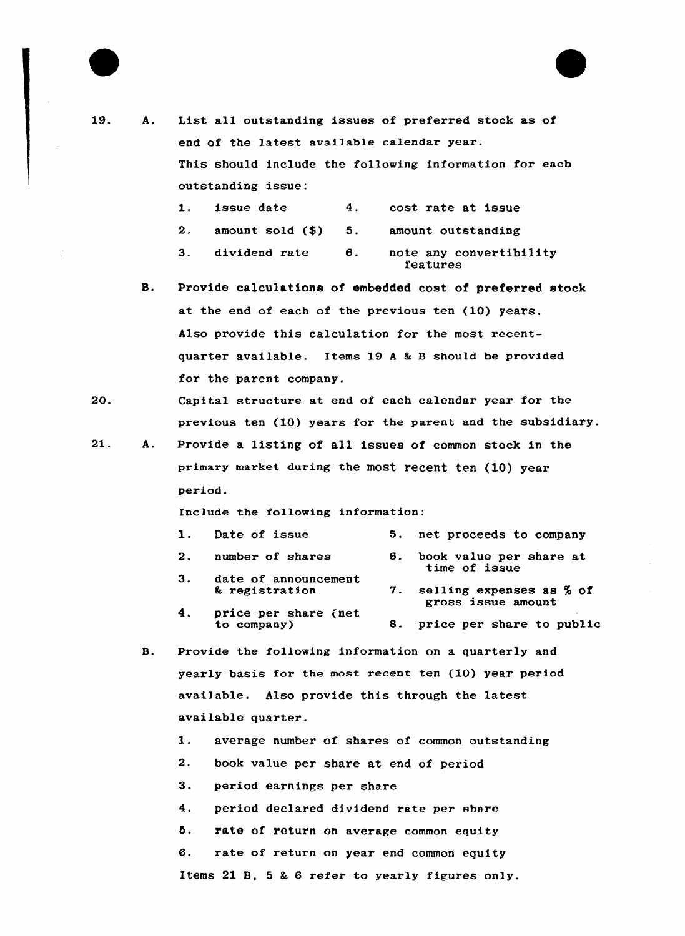



- 19. A. List all outstanding issues of preferred stock as of end of the latest available calendar year. This should include the following information for each outstanding issue:
	- 1. issue date 4. cost rate at issue
	- 2. amount sold (\$) 5. amount outstanding
	- 3. dividend rate 6. note any convertibility features
	- B. Provide calculations oi embedded cost of preferred stock at the end of each of the previous ten (10) years. Also provide this calculation for the most recentquarter available. Items  $19A & B$  should be provided fox the parent company.
- 20. Capital structuxe at end of each calendar year for the previous ten (10) years for the parent and the subsidiary.
- 21. A. Provide a listing of all issues of common stock in the primary market during the most recent ten (10) year period.

Include the following information:

 $4.$ 

|    | 1. Date of issue     |    | 5. net proceeds to company               |
|----|----------------------|----|------------------------------------------|
|    | 2. number of shares  | 6. | book value per share at<br>time of issue |
| 3. | date of announcement |    |                                          |

- & registration price per share (net 7. selling expenses as % of gross issue amount
- to company) 8. price per share to public
- 8. Provide the following information on a quarterly and yearly basis for the most recent ten (10) year period available. Also provide this through the latest available quarter.
	- 1. average number of shares of common outstanding
	- 2. book value per share at end of period
	- 3. period eaxnings per share
	- 4. period declared dividend rate per share
	- 5. rate of return on average common equity
	- 6. rate of return on year end common equity

Items 21 8, 5 & 6 refer to yearly figures only.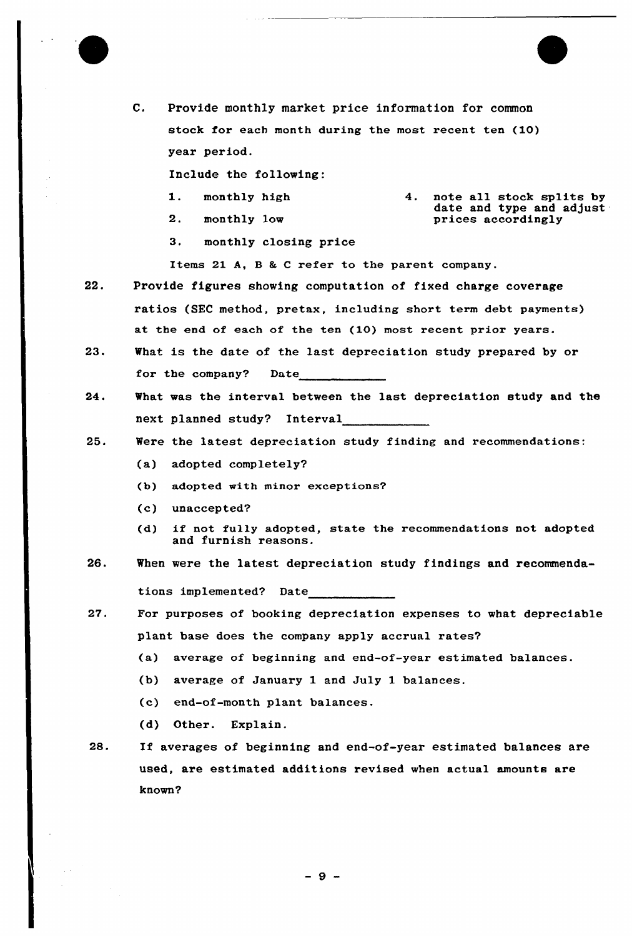

C. Provide monthly market price information for common stock for each month during the most recent ten (10) year period.

Include the following:

- 1. monthly high
- 2. monthly low
- 4. note all stock splits by date and type and adjust prices accordingly
- 3. monthly closing price

Items 21 A, B & C refer to the parent company.

- 22. Provide figures showing computation of fixed charge coverage ratios (SEC method, pretax, including short term debt payments) at the end of each of the ten (10) most recent prior years.
- 23. What is the date of the last depreciation study prepared by or for the company? Date
- 24. What was the interval between the last depreciation study and the next planned study? Interval
- 25. Were the latest depreciation study finding and recommendations:
	- (a) adopted completely?
	- (b) adopted with minor exceptions?
	- (c) unaccepted?
	- (d) if not fully adopted, state the recommendations not adopted and furnish reasons.
- 26. When were the latest depreciation study findings and recommendations implemented? Date
- $27.$ For purposes of booking depreciation expenses to what depreciable plant base does the company apply accrual rates?
	- (a) average of beginning and end-of-year estimated balances.
	- (b) average of January 1 and July 1 balances.
	- (c) end-of-month plant balances.
	- (d) Other. Explain.
- 28. If averages of beginning and end-of-year estimated balances are used, are estimated additions revised when actual amounts are known?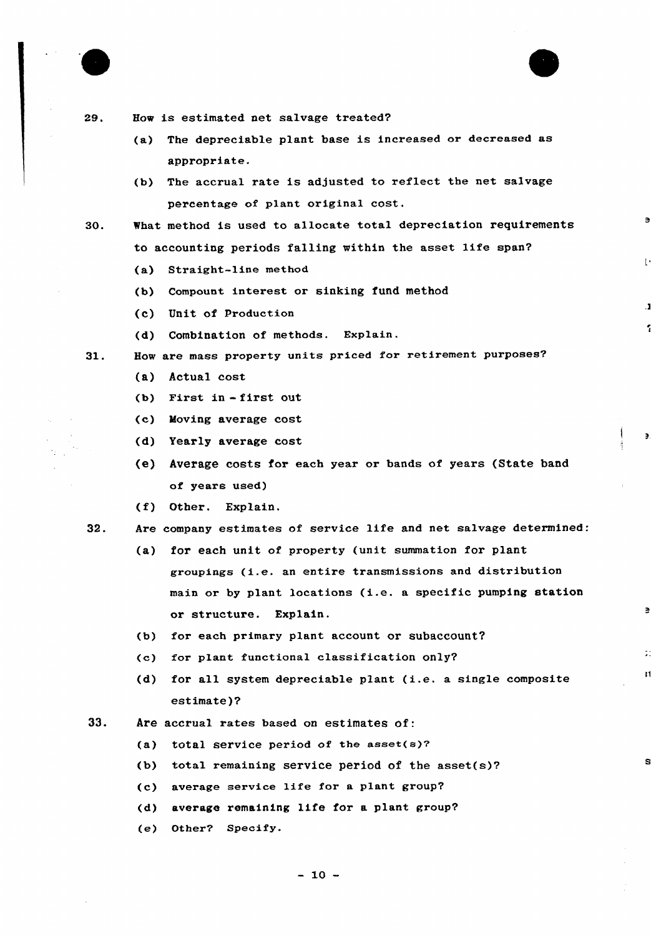

29.



- (a) The depreciable plant base is increased or decreased as appropriate.
- (b) The accrual rate is adjusted to reflect the net salvage percentage of plant original cost.

 $\blacksquare$ 

И

- 30. %hat method is used to allocate total depreciation requirements to accounting periods falling within the asset life span?
	- (a) Straight-line method
	- (b) Compount interest or sinking fund method
	- (c) Unit of production
	- (d) Combination of methods. Explain.
- $31.$ How are mass property units priced for retirement purposes?
	- (a) Actual cost
	- (b) First in -first out
	- (c) Moving average cost
	- (d) Yearly average cost
	- (e) Average costs for each year or bands of years (State band of years used)
	- $(f)$  Other. Explain.

32. Are company estimates of service life and net salvage determined:

- (a) for each unit of property (unit summation for plant groupings (i.e. an entire transmissions and distribution main or by plant locations (i.e. <sup>a</sup> specific pumping station or structure. Explain.
- (b) for each primary plant account or subaccount?
- (c) for plant functional classification only?
- (d} for all system depreciable plant (i.e. <sup>a</sup> single composite estimate)?
- $33.$  Are accrual rates based on estimates of:
	- (a) total service period of the asset $(s)$ ?
	- (b) total remaining service period of the asset(s)?
	- (c) average service life for <sup>a</sup> plant group?
	- (d) average remaining life for a plant group?
	- (e) Other? Specify.

 $-10 -$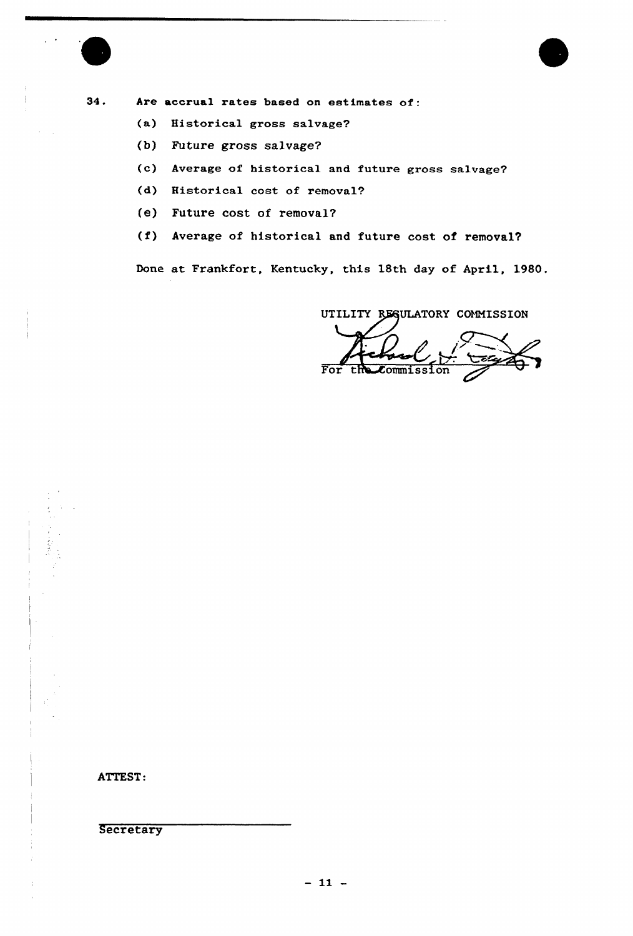

34. Are accrual rates based on estimates of:

- (a) Historical gross salvage?
- (b) Future gross salvage?
- (c) Average of historical and future gross salvage?
- (d) Historical cost of removal?
- (e) Future cost of removal?
- (f) Average of historical and future cost of removal?

Done at Frankfort, Kentucky, this 18th day of April, 1980.

UTILITY RESULATORY COMMISSION

For the Commission

ATTEST:

**Secretary**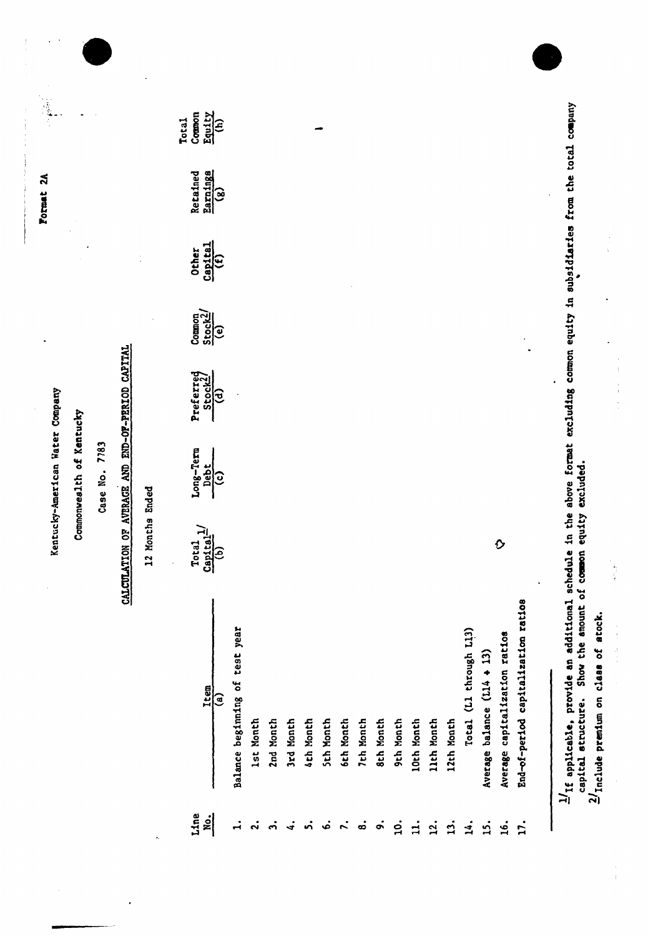|                             |                                     |                                                                   | Commonwealth of Kentucky             |                                      |                                                                                          |                                       |                                           |                                  |
|-----------------------------|-------------------------------------|-------------------------------------------------------------------|--------------------------------------|--------------------------------------|------------------------------------------------------------------------------------------|---------------------------------------|-------------------------------------------|----------------------------------|
|                             |                                     |                                                                   | Case No. 7783                        |                                      |                                                                                          |                                       |                                           |                                  |
|                             |                                     | CALCULATION OF                                                    |                                      | AVERAGE AND END-OF-PERIOD CAPITAL    |                                                                                          |                                       |                                           |                                  |
|                             |                                     | 12 Months Ended                                                   |                                      |                                      |                                                                                          |                                       |                                           |                                  |
| Line<br><b>No.</b>          | Item<br>ઉ                           | $rac{1}{\text{Capt}\tan^{-1}}$<br>Total<br>$\widehat{\mathbf{b}}$ | Long-Term<br>Debt<br>$\overline{c)}$ | Preferred<br>$\overline{\mathbf{e}}$ | $\begin{array}{l} \text{Common} \\ \text{Stock2} \\ \text{10} \\ \text{(e)} \end{array}$ | $\frac{\text{Capital}}{(f)}$<br>Other | $\frac{\text{Earnings}}{(8)}$<br>Retained | Equity<br>(h)<br>Common<br>Total |
| $\vec{r}$                   | Balance beginning of test year      |                                                                   |                                      |                                      |                                                                                          |                                       |                                           |                                  |
| $\ddot{\sim}$               | <b>1st Month</b>                    |                                                                   |                                      |                                      |                                                                                          |                                       |                                           |                                  |
| $\ddot{\mathbf{c}}$         | 2nd Month                           |                                                                   |                                      |                                      |                                                                                          |                                       |                                           |                                  |
| $\ddot{ }$                  | 3rd Month                           |                                                                   |                                      |                                      |                                                                                          |                                       |                                           |                                  |
| ທ່                          | 4th Month                           |                                                                   |                                      |                                      |                                                                                          |                                       |                                           |                                  |
| ئە                          | <b>Sth Month</b>                    |                                                                   |                                      |                                      |                                                                                          |                                       |                                           |                                  |
| $\mathcal{L}_{\mathcal{L}}$ | 6th Month                           |                                                                   |                                      |                                      |                                                                                          |                                       |                                           |                                  |
| $\dot{\bf s}$               | 7th Month                           |                                                                   |                                      |                                      |                                                                                          |                                       |                                           |                                  |
| $\dot{\mathbf{c}}$          | 8th Month                           |                                                                   |                                      |                                      |                                                                                          |                                       |                                           |                                  |
| $\dot{q}$                   | 9th Month                           |                                                                   |                                      |                                      |                                                                                          |                                       |                                           |                                  |
| $\mathbf{d}$                | 10th Month                          |                                                                   |                                      |                                      |                                                                                          |                                       |                                           |                                  |
| $\overline{2}$              | 11th Month                          |                                                                   |                                      |                                      |                                                                                          |                                       |                                           |                                  |
| $\ddot{1}$                  | 12th Month                          |                                                                   |                                      |                                      |                                                                                          |                                       |                                           |                                  |
| $\mathbf{14}$ .             | Total (L1 through L13)              |                                                                   |                                      |                                      |                                                                                          |                                       |                                           |                                  |
| $\dot{5}$ .                 | Average balance (L14 + 13)          |                                                                   |                                      |                                      |                                                                                          |                                       |                                           |                                  |
| 16.                         | Average capitalization ratios       | $\mathbf{\hat{O}}$                                                |                                      |                                      |                                                                                          |                                       |                                           |                                  |
| $\ddot{L}$                  | End-of-period capitalization ratios |                                                                   |                                      |                                      |                                                                                          |                                       |                                           |                                  |

 $\ddot{\phantom{0}}$  $\ddot{\phantom{0}}$ 

 $\ddot{\phantom{0}}$ 

 $\frac{1}{2}$  $\ddot{ }$ 

 $2/$ Include premium on class of atock.

医皮肤 医皮肤

 $\frac{1}{\sqrt{2}}$ 

 $\frac{1}{3}$ 

 $\begin{array}{c} \frac{1}{2} \\ \frac{1}{2} \end{array}$ 

l,

 $\label{eq:2.1} \begin{array}{c} \mathbf{1} & \mathbf{1} & \mathbf{1} \\ \mathbf{1} & \mathbf{1} & \mathbf{1} \\ \mathbf{1} & \mathbf{1} & \mathbf{1} \\ \mathbf{1} & \mathbf{1} & \mathbf{1} \end{array}$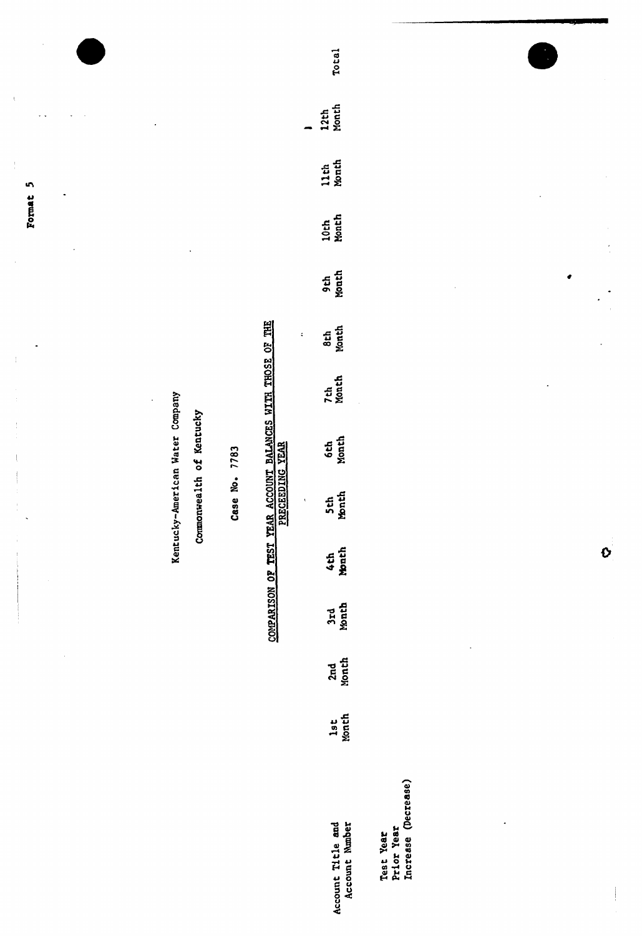Format 5

 $\frac{1}{\epsilon}$ 

Kentucky-American Water Company

Commonwealth of Kentucky

Case No. 7783

# COMPARISON OF TEST YEAR ACCOUNT BALANCES WITH THOSE OF THE

 $\ddot{\cdot}$ 

| <b>Total</b>                        |
|-------------------------------------|
| 12th<br>Month                       |
| 11th<br>Month                       |
| 10th<br>Month                       |
| 9th<br>Month                        |
| 8th<br>Month                        |
| 7th<br>Month                        |
| <b>6th</b><br>Month                 |
| 5th<br>Month                        |
| 4th<br>Month                        |
| 3rd<br>Month                        |
| 2nd<br>Month                        |
| lst<br>Month                        |
|                                     |
| Account Title and<br>Account Number |

 $\mathbf{o}$ 

Test Year<br>Prior Year<br>Increase (Decrease)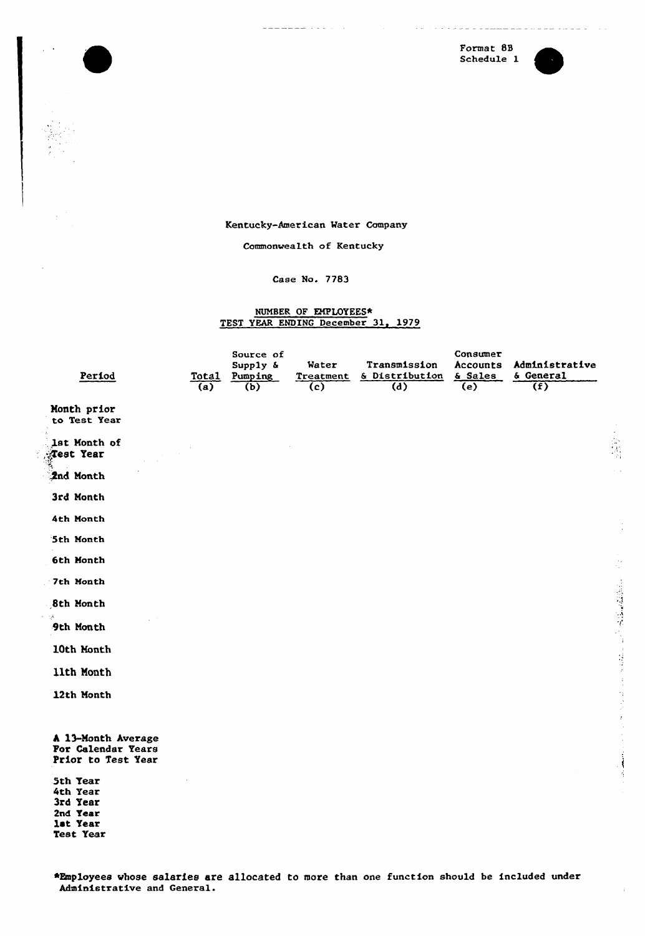Format 88 Schedule 1



Kentucky-American Water Company

Commonwealth of Kentucky

Case No. 7783

# NUMBER OF EMPLOYEES\* TEST YEAR ENDING December 31, 1979

| Period                                                                | Total<br>(a) | Source of<br>Supply &<br>Pumping<br>(b) | Water<br>Treatment<br>(c) | Transmission<br>& Distribution<br>(d) | Consumer<br>Accounts<br>& Sales<br>(e) | Administrative<br>& General<br>(f) |
|-----------------------------------------------------------------------|--------------|-----------------------------------------|---------------------------|---------------------------------------|----------------------------------------|------------------------------------|
| Month prior<br>to Test Year                                           |              |                                         |                           |                                       |                                        |                                    |
| lst Month of<br>Test Year                                             |              |                                         |                           |                                       |                                        |                                    |
| 2nd Month                                                             |              |                                         |                           |                                       |                                        |                                    |
| 3rd Month                                                             |              |                                         |                           |                                       |                                        |                                    |
| 4th Month                                                             |              |                                         |                           |                                       |                                        |                                    |
| 5th Month                                                             |              |                                         |                           |                                       |                                        |                                    |
| 6th Month                                                             |              |                                         |                           |                                       |                                        |                                    |
| 7th Month                                                             |              |                                         |                           |                                       |                                        |                                    |
| 8th Month                                                             |              |                                         |                           |                                       |                                        |                                    |
| 9th Month                                                             |              |                                         |                           |                                       |                                        |                                    |
| 10th Month                                                            |              |                                         |                           |                                       |                                        |                                    |
| 11th Month                                                            |              |                                         |                           |                                       |                                        |                                    |
| 12th Month                                                            |              |                                         |                           |                                       |                                        |                                    |
| A 13-Month Average<br>For Calendar Years<br>Prior to Test Year        |              |                                         |                           |                                       |                                        |                                    |
| 5th Year<br>4th Year<br>3rd Year<br>2nd Year<br>let Year<br>Test Year |              |                                         |                           |                                       |                                        |                                    |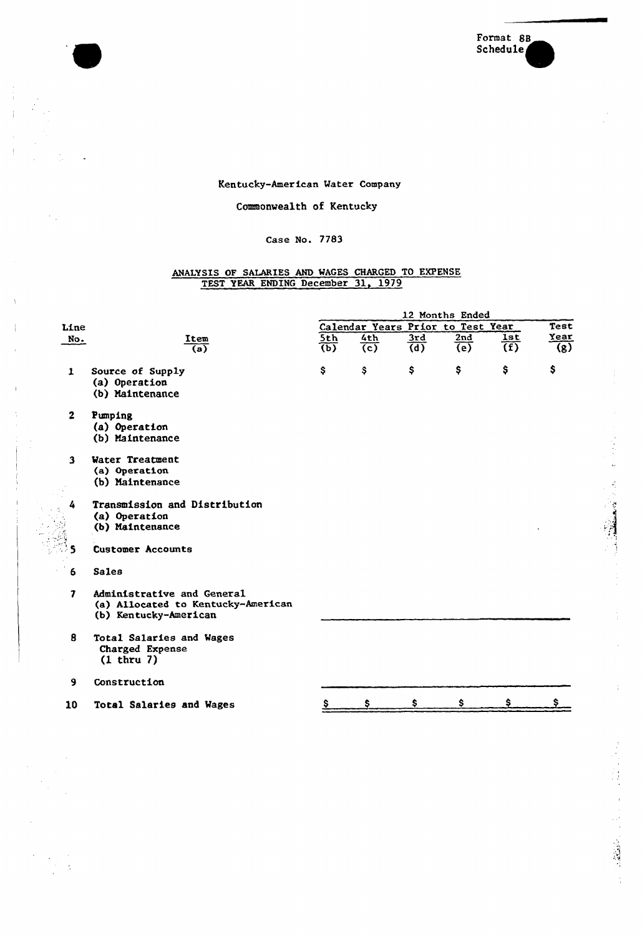

 $\frac{1}{3}$ 

# Kentucky-American Mater Company

Ĵ.  $\frac{1}{2}$ 

 $\frac{1}{2}$ 

 $\mathbb{R}^2$ 

 $\frac{1}{\sqrt{2}}$ 

# Commonwealth of Kentucky

# Case No. 7783

# ANALYSIS OF SALARIES AND WAGES CHARGED TO EXPENSE TEST YEAR ENDING December 31, 1979

|                |                                                                                           |                           |     |                                   | 12 Months Ended |                |                  |
|----------------|-------------------------------------------------------------------------------------------|---------------------------|-----|-----------------------------------|-----------------|----------------|------------------|
| Line           |                                                                                           |                           |     | Calendar Years Prior to Test Year |                 |                | Test             |
| No.            | Item                                                                                      | 5th                       | 4th | 3rd                               | 2nd             | <b>lst</b>     | Year             |
|                | $\overline{a}$                                                                            | $\overline{(\mathbf{b})}$ | (c) | $\overline{(d)}$                  | $\overline{e}$  | $\overline{f}$ | $\overline{(g)}$ |
| $\mathbf{1}$   | Source of Supply<br>(a) Operation<br>(b) Maintenance                                      | \$                        | \$  | \$                                | \$              | \$             | \$               |
| $\overline{2}$ | Pumping<br>(a) Operation<br>(b) Maintenance                                               |                           |     |                                   |                 |                |                  |
| $\mathbf{3}$   | Water Treatment<br>(a) Operation<br>(b) Maintenance                                       |                           |     |                                   |                 |                |                  |
| 4              | Transmission and Distribution<br>(a) Operation<br>(b) Maintenance                         |                           |     |                                   |                 |                |                  |
| $\mathbf S$    | <b>Customer Accounts</b>                                                                  |                           |     |                                   |                 |                |                  |
| 6              | <b>Sales</b>                                                                              |                           |     |                                   |                 |                |                  |
| 7              | Administrative and General<br>(a) Allocated to Kentucky-American<br>(b) Kentucky-American |                           |     |                                   |                 |                |                  |
| 8              | Total Salaries and Wages<br>Charged Expense<br>$(1$ thru $7)$                             |                           |     |                                   |                 |                |                  |
| 9              | Construction                                                                              |                           |     |                                   |                 |                |                  |
| 10             | <b>Total Salaries and Wages</b>                                                           |                           |     |                                   | Ŝ               |                |                  |
|                |                                                                                           |                           |     |                                   |                 |                |                  |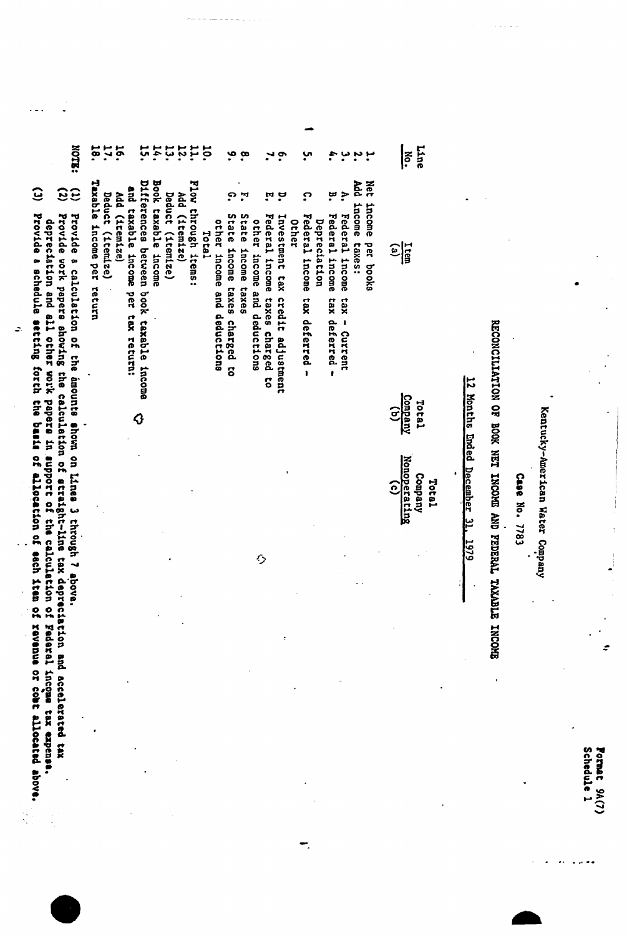Pormat 9A(7)<br>Schedule 1

Kentucky-American Water Company

Case No. 7783

EFOONCITIVITION OF BOOK NET I'EDENT THOORE XOURTLE INCONDER

# 12 Months Ended December 31, 1979

| $ \tilde{\vec{}}\rangle$                      |
|-----------------------------------------------|
| $\frac{\text{sum}}{\text{sum}}$               |
| $\frac{1000 \text{au}}{(0000 \text{au})}$     |
| Total<br>Company<br><u>Nonoperatin</u><br>(c) |

Net income per books

n h Add income taxes:

 $\ddot{ }$ Federal income tax - Current

មុ Federal income tax deferred -

ဂ္ Federal income tax deferred -Depreciation

ë. 'n, Investment tax credit adjustment Other

Ħ Federal income taxes charged to

7.

other income and deductions

Ó

State income taxes

ي.  $\mathbf{a}$ 

ဂ္ State income taxes charged to other income and deductions

**10.** Total

Flow through items:

Add (1tem1ze)

 $\begin{array}{c} 111 \\ 121 \end{array}$ Deduct (itemize)

14. Book taxable income

ដូ Differences between book taxable income

 $\hat{Q}$ 

and taxable income per tax return:

**17. 16.** Add (1tem1ze)

Deduct (itemize)

18. Taxable income per return

**NOTE:** 

 $\mathbf{G}$ 

Provide a calculation of the amounts shown on lines 3 through 7 above.

 $33$ Provide work papers showing the calculation of atraight-line tax depreciation and accelerated tax

Provide a schedule setting forth the basis of allocation of allocation of rem of revenue allocated above. depreciation and all other work papers in support of the calculation of Federal income tax expense.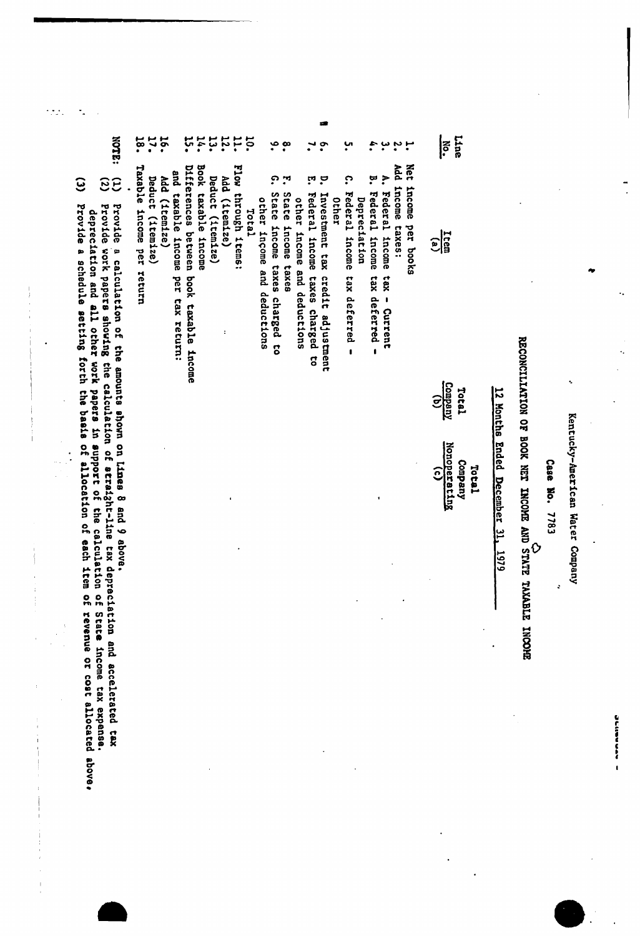- APRAMING

Kentucky-American Water Company

 $\ddot{\phantom{0}}$ 

 $\ddot{\phantom{0}}$ 

Case No. 7783

 $\ddot{\cdot}$ 

# RECONCILIATION OF BOOK NET INCOME AND STATE TAXABLE INCOME

# 12 Months Ended December 31, 1979

| $\frac{1}{16}$<br>$\frac{\cos \pi y}{\cos \pi y}$<br>Total                             | Nonoperating<br>Company<br>Total<br>$\widehat{c}$ |
|----------------------------------------------------------------------------------------|---------------------------------------------------|
| income per books<br>income taxes:<br>Federal income<br>Federal income<br>tax - Current |                                                   |
| Federal income tax deferred -<br>tax deferred<br>$\mathbf{I}$                          |                                                   |
|                                                                                        |                                                   |
|                                                                                        |                                                   |

 $\widetilde{c}$ 

 $\ddot{\boldsymbol{\epsilon}}$ rrovide a carculation of the amound the calculation of straight-line tax depreciation and accelerated tex<br>Provide work papers showing the calculation of straight-line tax depreciation and accelerated tex<br>depreciation and a

 $\ddot{\phantom{0}}$ 

ie.

l,

 $\frac{1}{2}$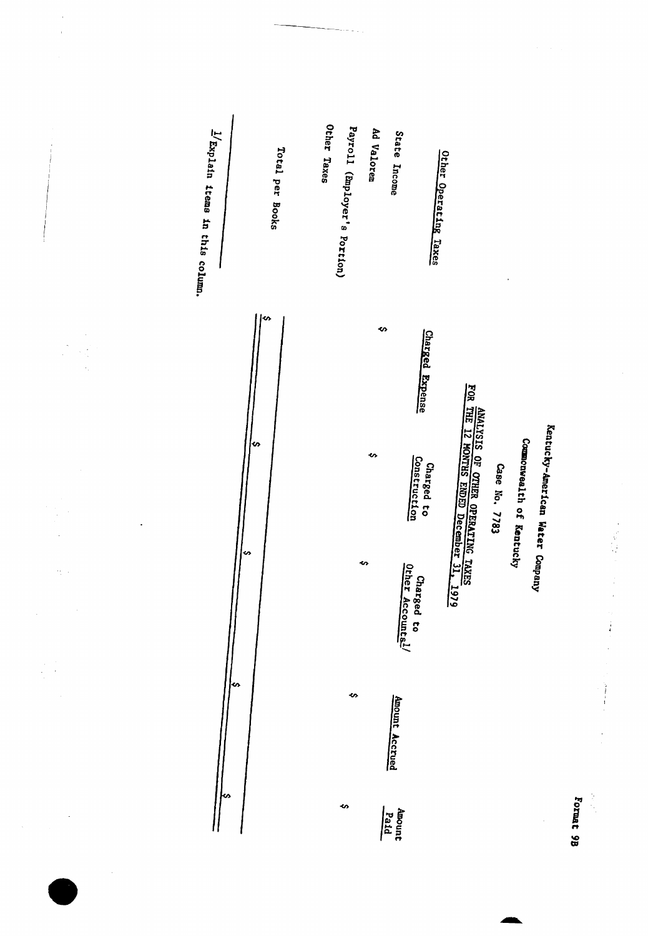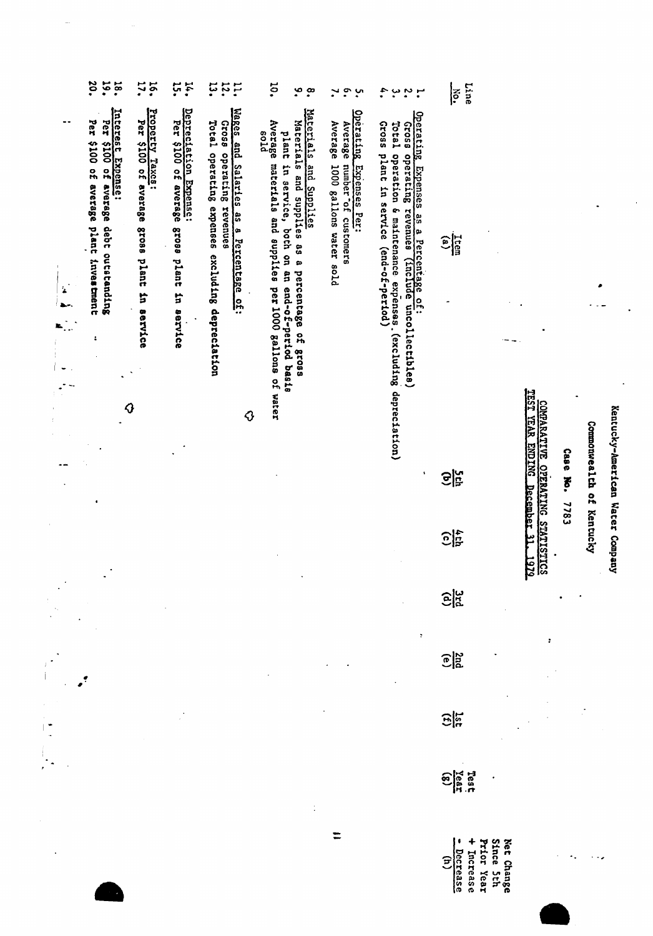|    | 30.<br>$\ddot{\phantom{0}}$<br>18.                                                                                         | 16.                                                                                          | ុះ<br>14.                                                                                    | ដុ<br>12.<br>$\ddot{5}$                                                                                                               | ¤.<br>$\cdot$<br>$\cdot^{\infty}$                                                                                                                                                                                         | $\cdot$<br>$\ddot{\bm{c}}$<br>$\mathbf{v}$                                                         | 4.<br>$\ddot{\phantom{0}}$<br>$\ddot{\cdot}$<br>$\mathbf{r}$                                                                                                                                                                     | Line<br><b>EC.</b>                                                             |                                                                                        |          |                 |                        |
|----|----------------------------------------------------------------------------------------------------------------------------|----------------------------------------------------------------------------------------------|----------------------------------------------------------------------------------------------|---------------------------------------------------------------------------------------------------------------------------------------|---------------------------------------------------------------------------------------------------------------------------------------------------------------------------------------------------------------------------|----------------------------------------------------------------------------------------------------|----------------------------------------------------------------------------------------------------------------------------------------------------------------------------------------------------------------------------------|--------------------------------------------------------------------------------|----------------------------------------------------------------------------------------|----------|-----------------|------------------------|
| ż. | Interest Expense:<br>Per<br>Per<br>001\$<br>001\$<br>of average<br>of average<br>debt outstanding<br>plant investment<br>÷ | Property<br>Per<br>001\$<br>Taxes:<br>5 <sup>o</sup><br>average<br>srose plant<br>in service | Depreciation Expense:<br>Perseciation Expense:<br>of average<br>88028<br>plant<br>in service | Wages and Salaries<br>Total operating expenses excluding depreciation<br>85019<br>operating<br>revenues<br>န္တ<br>a Percentage<br>င်း | Materials<br>Average<br>Materials<br>enta<br>plant<br>materials and supplies<br>in service, both on an end-of-period basis<br>and Supplies<br>pue<br>supplies as a<br>percentage of<br>per 1000 gallons of water<br>81038 | Operating<br>Average<br>Average<br>Expenses Per:<br>Iumber of customers<br>1000 gallons water sold | Operating Expenses as a Percentage of:<br>Gross operating revenues (Include uncollectibles)<br><b>Gross</b><br>Total<br>Suragrus<br>operation 6 maintenance expenses (excluding<br>plant in service (end-of-period)<br>operation | <b>Ltem</b><br>$\binom{a}{b}$                                                  |                                                                                        |          |                 |                        |
|    | $\boldsymbol{\theta}$                                                                                                      |                                                                                              |                                                                                              | ♦                                                                                                                                     |                                                                                                                                                                                                                           |                                                                                                    | depreciation)<br>$\bullet$                                                                                                                                                                                                       | 영어                                                                             | <b>TEST</b><br>COMPARATIVE<br><b>YEAR</b><br><b>TVE OPERATIVG S</b><br>ENDING December | Case No. | Commonwealth of | Kentucky-American Wate |
|    |                                                                                                                            |                                                                                              |                                                                                              |                                                                                                                                       |                                                                                                                                                                                                                           |                                                                                                    |                                                                                                                                                                                                                                  | $\frac{4}{120}$                                                                | Decembe;<br>۳                                                                          | 7783     | Kentucky        |                        |
|    |                                                                                                                            |                                                                                              |                                                                                              |                                                                                                                                       |                                                                                                                                                                                                                           |                                                                                                    |                                                                                                                                                                                                                                  | $\widehat{E}$                                                                  | <b>NATISTICS</b><br><u>1979</u>                                                        |          |                 | T Company              |
|    |                                                                                                                            |                                                                                              |                                                                                              |                                                                                                                                       |                                                                                                                                                                                                                           |                                                                                                    | ÷                                                                                                                                                                                                                                | $\frac{25}{9}$                                                                 |                                                                                        |          |                 |                        |
|    |                                                                                                                            |                                                                                              |                                                                                              |                                                                                                                                       |                                                                                                                                                                                                                           |                                                                                                    |                                                                                                                                                                                                                                  | $\frac{1}{25}$                                                                 |                                                                                        |          |                 |                        |
|    |                                                                                                                            |                                                                                              |                                                                                              |                                                                                                                                       |                                                                                                                                                                                                                           |                                                                                                    |                                                                                                                                                                                                                                  | rest<br><u>vear</u><br>(g)                                                     |                                                                                        |          |                 |                        |
|    |                                                                                                                            |                                                                                              |                                                                                              |                                                                                                                                       |                                                                                                                                                                                                                           |                                                                                                    |                                                                                                                                                                                                                                  | <b>Since</b><br>Net Change<br>Prior Year<br>Decrease<br>(h)<br>Increase<br>hth |                                                                                        |          |                 |                        |

 $\frac{1}{\sqrt{2}}\sum_{i=1}^n\frac{1}{\sqrt{2}}\sum_{i=1}^n\frac{1}{\sqrt{2}}\sum_{i=1}^n\frac{1}{\sqrt{2}}\sum_{i=1}^n\frac{1}{\sqrt{2}}\sum_{i=1}^n\frac{1}{\sqrt{2}}\sum_{i=1}^n\frac{1}{\sqrt{2}}\sum_{i=1}^n\frac{1}{\sqrt{2}}\sum_{i=1}^n\frac{1}{\sqrt{2}}\sum_{i=1}^n\frac{1}{\sqrt{2}}\sum_{i=1}^n\frac{1}{\sqrt{2}}\sum_{i=1}^n\frac{1}{\sqrt{2}}\$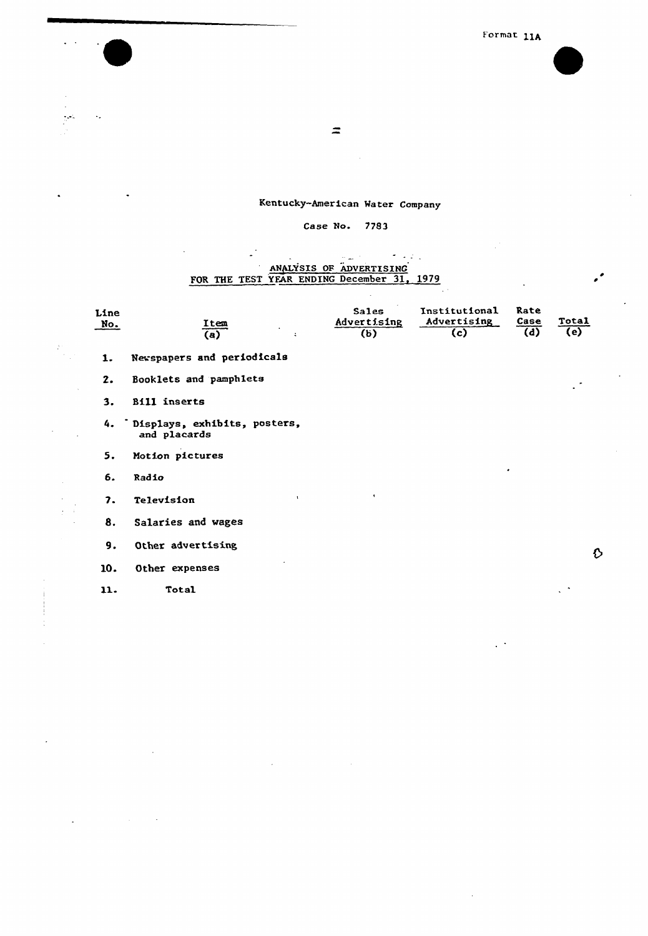$\mathbb{R}^{\frac{1}{2}}$ 

 $\cdot$ 

 $\sim$ 

 $\hat{\mathcal{L}}$  $\mathbb{R}^2$ 

 $\mathbb{R}^2$ 

 $\frac{1}{\frac{1}{\sqrt{2}}}\sum_{i=1}^{n} \frac{1}{\sqrt{2}}\left(\frac{1}{\sqrt{2}}\right)^2$ 

 $\frac{1}{1}$ 

 $\ddot{\phantom{a}}$ 

 $\sim$   $\mu$  .

 $\sim 10$ 

 $\ddot{\mathcal{L}}$ 

# Kentucky-American Mater Company

# Case No. 7783

J.

# ANALYSIS OF ADVERTISING<br>FOR THE TEST YEAR ENDING December 31, 1979

| Line<br><u>No.</u> | Item<br>(a)<br>÷                                | <b>Sales</b><br>Advertising<br>(b) | Institutional<br>Advertising<br>(c) | Rate<br>Case<br>$\overline{(d)}$ | Total<br>(e) |  |
|--------------------|-------------------------------------------------|------------------------------------|-------------------------------------|----------------------------------|--------------|--|
| 1.                 | Newspapers and periodicals                      |                                    |                                     |                                  |              |  |
| 2.                 | Booklets and pamphlets                          |                                    |                                     |                                  | $\bullet$    |  |
| 3.                 | <b>Bill inserts</b>                             |                                    |                                     |                                  |              |  |
|                    | 4. Displays, exhibits, posters,<br>and placards |                                    |                                     |                                  |              |  |
| 5.                 | Motion pictures                                 |                                    |                                     |                                  |              |  |
| 6.                 | Radio                                           |                                    |                                     | ٠                                |              |  |
| 7.                 | $\mathbf{I}$<br>Television                      | ٠                                  |                                     |                                  |              |  |
| 8.                 | Salaries and wages                              |                                    |                                     |                                  |              |  |
| 9.                 | Other advertising                               |                                    |                                     |                                  | ♦            |  |
| 10.                | Other expenses                                  |                                    |                                     |                                  |              |  |
| 11.                | Total                                           |                                    |                                     |                                  | $\sim$       |  |

 $\bar{L}$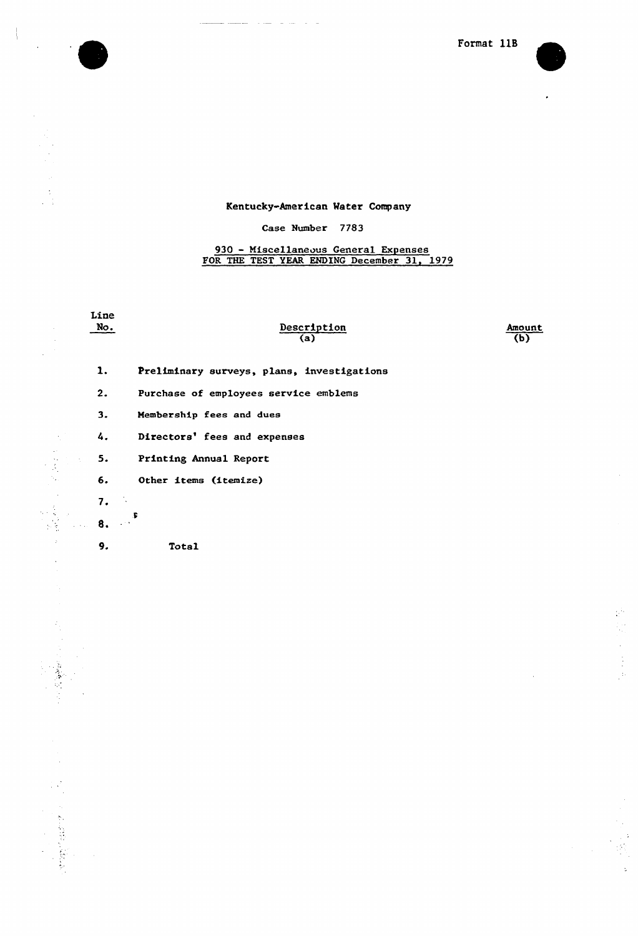



 $\mathbb{R}^N$ 

Q.

 $\ddot{\phantom{0}}$ 

 $\hat{\boldsymbol{\gamma}}$ 

 $\ddot{\phantom{a}}$ 

# Kentucky-American Mater Company

والمراسل والمدير الوسطاط

 $\overline{\phantom{a}}$ 

 $\mathcal{A}$ 

 $\hat{\rho}$ 

 $\bar{\beta}$  $\ddot{\phantom{a}}$ 

 $\dot{\zeta}$ 

「この家族のこと

# Case Number 7783

# 930 - Miscellaneous General Expense FOR THE TEST YEAR ENDING December 31, 1979

| Line<br>No.         | Description<br>(a)                         | Amoun<br>(b) |
|---------------------|--------------------------------------------|--------------|
| 1.                  | Preliminary surveys, plans, investigations |              |
| 2.                  | Purchase of employees service emblems      |              |
| 3.                  | Membership fees and dues                   |              |
| 4.                  | Directors' fees and expenses               |              |
| 5.                  | Printing Annual Report                     |              |
| 6.                  | Other items (itemize)                      |              |
| 7.                  |                                            |              |
| $\sim$ $\sim$<br>8. | .F                                         |              |
| 9.                  | Total                                      |              |
|                     |                                            |              |
|                     |                                            |              |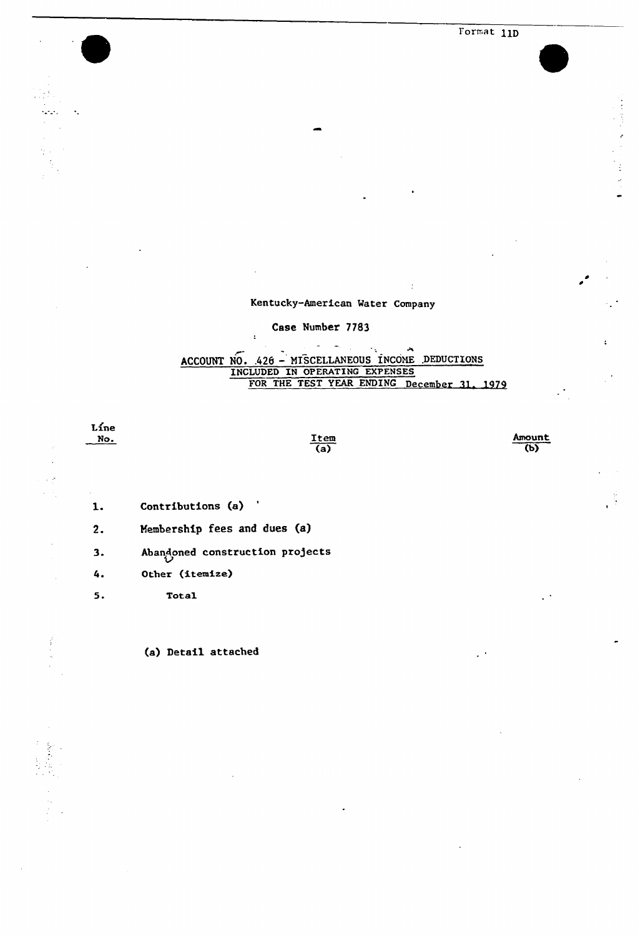Format 11D

# Kentucky-American Mater Company

 $\ddot{\phantom{a}}$ 

## Case Number 7783

 $\mathbf{r}$ 

### $\omega$  .  $\mathcal{L}_{\mathcal{A}}$ ACCOUNT NO. 426 - MISCELLANEOUS INCOME DEDUCTIONS INCLUDED IN OPERATING EXPENSES FOR THE TEST YEAR ENDING December 31, 1979

Líne  $\frac{No.}{\ }$ 

 $\mathcal{L}_{\mathbf{a}^{\prime},\mathbf{a}^{\prime},\mathbf{c}^{\prime}}$ 

 $\mathcal{L}_{\mathcal{A}}$  $\frac{1}{2}$  $\frac{1}{2} \cdot \frac{1}{2}$  $\mathcal{I}_2$ 

 $\frac{1}{2}$ 

 $\ddot{\phantom{a}}$ 

 $\frac{\text{Item}}{(a)}$  Amount (b)

- Contributions (a)  $\mathbf{1}$ .
- $2.$ Membership fees and dues (a)

 $3.$ Abandoned construction projects

- 4. Other (itemize)
- $5.$ Total

(a) Detail attached